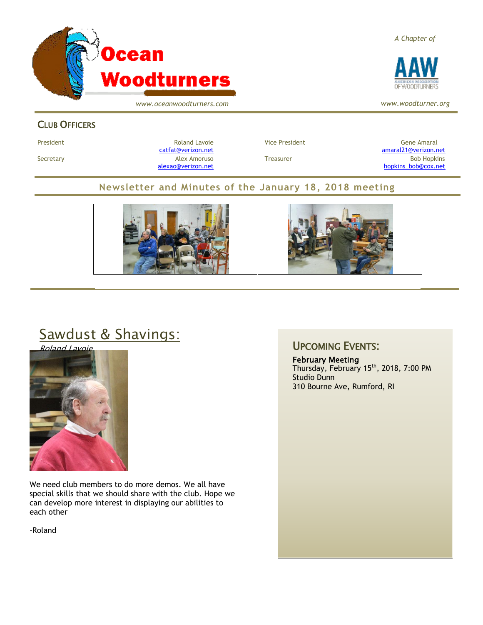

*www.oceanwoodturners.com*

### CLUB OFFICERS

President Chronical Communication Chronical Roland Lavoie Chronic Vice President Chronic Chronic Gene Amaral [catfat@verizon.net](file:///C:/Users/OTEC/Desktop/OW/catfat@verizon.net) [amaral21@verizon.net](mailto:amaral21@verizon.net) Secretary Alex Amoruso Treasurer Bob Hopkins [alexao@verizon.net](mailto:alexao@verizon.net) [hopkins\\_bob@cox.net](mailto:hopkins_bob@cox.net)

#### **Newsletter and Minutes of the January 18, 2018 meeting**



# Sawdust & Shavings:



We need club members to do more demos. We all have special skills that we should share with the club. Hope we can develop more interest in displaying our abilities to each other

-Roland

### UPCOMING EVENTS:

February Meeting Thursday, February 15<sup>th</sup>, 2018, 7:00 PM Studio Dunn 310 Bourne Ave, Rumford, RI





*www.woodturner.org*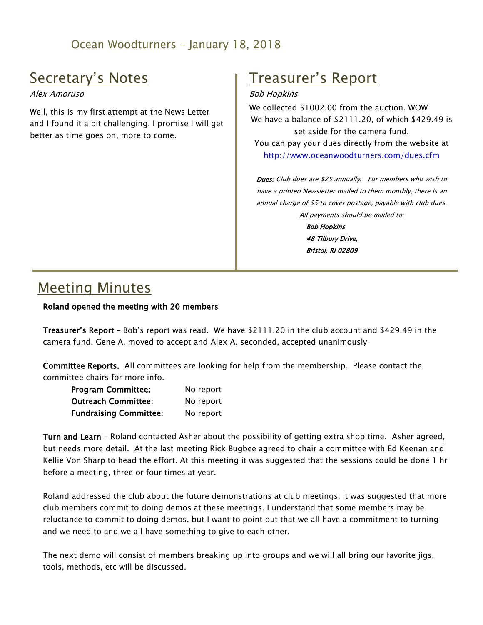### Ocean Woodturners – January 18, 2018

# Secretary's Notes

Alex Amoruso

Well, this is my first attempt at the News Letter and I found it a bit challenging. I promise I will get better as time goes on, more to come.

# Treasurer's Report

#### Bob Hopkins

We collected \$1002.00 from the auction. WOW We have a balance of \$2111.20, of which \$429.49 is set aside for the camera fund. You can pay your dues directly from the website at <http://www.oceanwoodturners.com/dues.cfm>

Dues: Club dues are \$25 annually. For members who wish to have a printed Newsletter mailed to them monthly, there is an annual charge of \$5 to cover postage, payable with club dues. All payments should be mailed to:

> Bob Hopkins 48 Tilbury Drive, Bristol, RI 02809

# Meeting Minutes

#### Roland opened the meeting with 20 members

Treasurer's Report – Bob's report was read. We have \$2111.20 in the club account and \$429.49 in the camera fund. Gene A. moved to accept and Alex A. seconded, accepted unanimously

Committee Reports. All committees are looking for help from the membership. Please contact the committee chairs for more info.

| <b>Program Committee:</b>     | No report |
|-------------------------------|-----------|
| <b>Outreach Committee:</b>    | No report |
| <b>Fundraising Committee:</b> | No report |

Turn and Learn – Roland contacted Asher about the possibility of getting extra shop time. Asher agreed, but needs more detail. At the last meeting Rick Bugbee agreed to chair a committee with Ed Keenan and Kellie Von Sharp to head the effort. At this meeting it was suggested that the sessions could be done 1 hr before a meeting, three or four times at year.

Roland addressed the club about the future demonstrations at club meetings. It was suggested that more club members commit to doing demos at these meetings. I understand that some members may be reluctance to commit to doing demos, but I want to point out that we all have a commitment to turning and we need to and we all have something to give to each other.

The next demo will consist of members breaking up into groups and we will all bring our favorite jigs, tools, methods, etc will be discussed.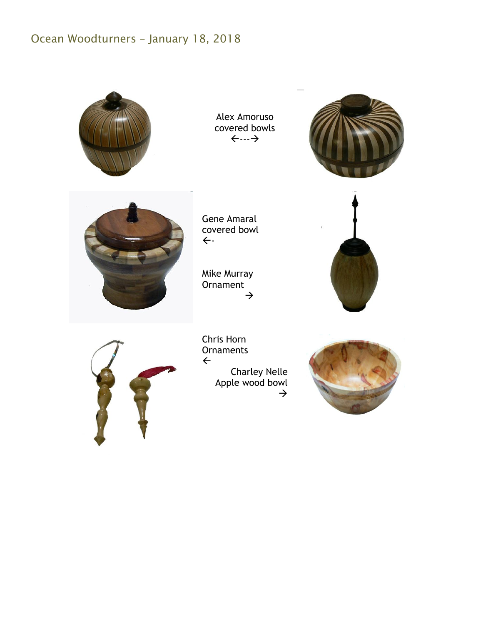## Ocean Woodturners – January 18, 2018



Alex Amoruso covered bowls  $\leftarrow$   $\rightarrow$ 



Gene Amaral covered bowl  $\leftarrow$ 

Mike Murray Ornament  $\rightarrow$ 



Chris Horn **Ornaments**  $\leftarrow$ Charley Nelle Apple wood bowl  $\rightarrow$